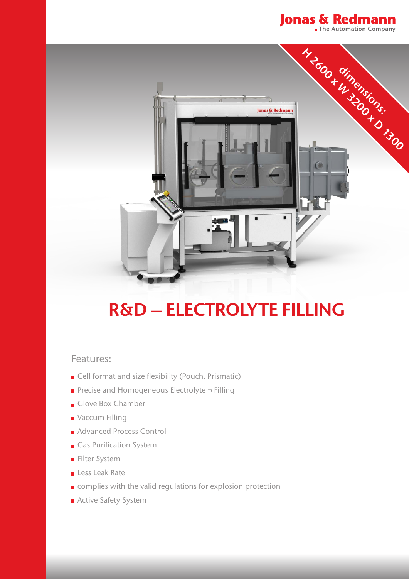



## **R&D – ELECTROLYTE FILLING**

## Features:

- Cell format and size flexibility (Pouch, Prismatic)
- Precise and Homogeneous Electrolyte ¬ Filling
- Glove Box Chamber
- Vaccum Filling
- Advanced Process Control
- Gas Purification System
- **Filter System**
- Less Leak Rate
- complies with the valid regulations for explosion protection
- Active Safety System